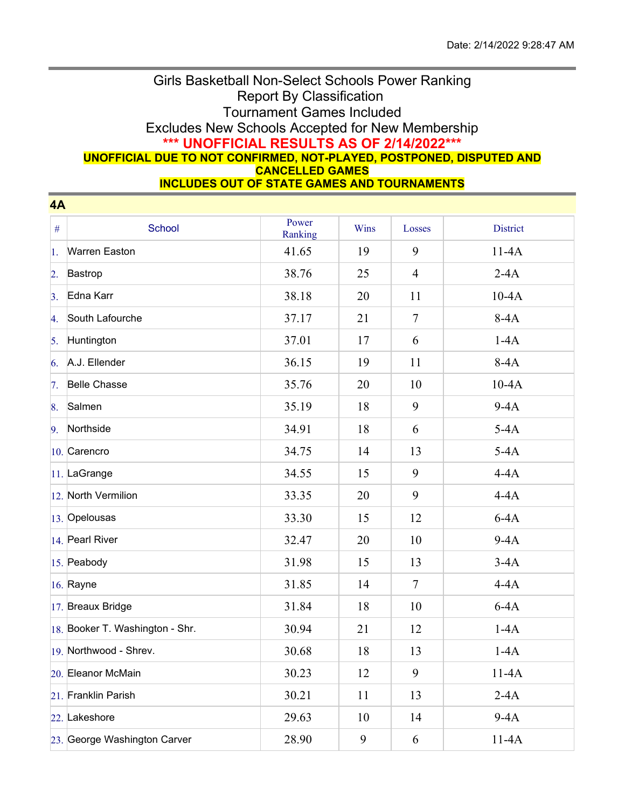## Girls Basketball Non-Select Schools Power Ranking Report By Classification Tournament Games Included Excludes New Schools Accepted for New Membership **\*\*\* UNOFFICIAL RESULTS AS OF 2/14/2022\*\*\* UNOFFICIAL DUE TO NOT CONFIRMED, NOT-PLAYED, POSTPONED, DISPUTED AND CANCELLED GAMES**

**INCLUDES OUT OF STATE GAMES AND TOURNAMENTS**

| 4A               |                                 |                  |      |                |                 |  |  |  |
|------------------|---------------------------------|------------------|------|----------------|-----------------|--|--|--|
| $\#$             | School                          | Power<br>Ranking | Wins | Losses         | <b>District</b> |  |  |  |
| 1.               | <b>Warren Easton</b>            | 41.65            | 19   | 9              | $11-4A$         |  |  |  |
| $\overline{2}$ . | Bastrop                         | 38.76            | 25   | $\overline{4}$ | $2-4A$          |  |  |  |
| 3.               | Edna Karr                       | 38.18            | 20   | 11             | $10-4A$         |  |  |  |
| 4.               | South Lafourche                 | 37.17            | 21   | $\tau$         | $8-4A$          |  |  |  |
| 5.               | Huntington                      | 37.01            | 17   | 6              | $1-4A$          |  |  |  |
| 6.               | A.J. Ellender                   | 36.15            | 19   | 11             | $8-4A$          |  |  |  |
| 7.               | <b>Belle Chasse</b>             | 35.76            | 20   | 10             | $10-4A$         |  |  |  |
| 8.               | Salmen                          | 35.19            | 18   | 9              | $9-4A$          |  |  |  |
| 9.               | Northside                       | 34.91            | 18   | 6              | $5-4A$          |  |  |  |
|                  | 10. Carencro                    | 34.75            | 14   | 13             | $5-4A$          |  |  |  |
|                  | 11. LaGrange                    | 34.55            | 15   | 9              | $4-4A$          |  |  |  |
|                  | 12. North Vermilion             | 33.35            | 20   | 9              | $4-4A$          |  |  |  |
|                  | 13. Opelousas                   | 33.30            | 15   | 12             | $6-4A$          |  |  |  |
|                  | 14. Pearl River                 | 32.47            | 20   | 10             | $9-4A$          |  |  |  |
|                  | 15. Peabody                     | 31.98            | 15   | 13             | $3-4A$          |  |  |  |
|                  | 16. Rayne                       | 31.85            | 14   | $\tau$         | $4-4A$          |  |  |  |
|                  | 17. Breaux Bridge               | 31.84            | 18   | 10             | $6-4A$          |  |  |  |
|                  | 18. Booker T. Washington - Shr. | 30.94            | 21   | 12             | $1-4A$          |  |  |  |
|                  | 19. Northwood - Shrev.          | 30.68            | 18   | 13             | $1-4A$          |  |  |  |
|                  | 20. Eleanor McMain              | 30.23            | 12   | 9              | $11-4A$         |  |  |  |
|                  | 21. Franklin Parish             | 30.21            | 11   | 13             | $2-4A$          |  |  |  |
|                  | 22. Lakeshore                   | 29.63            | 10   | 14             | $9-4A$          |  |  |  |
|                  | 23. George Washington Carver    | 28.90            | 9    | 6              | $11-4A$         |  |  |  |